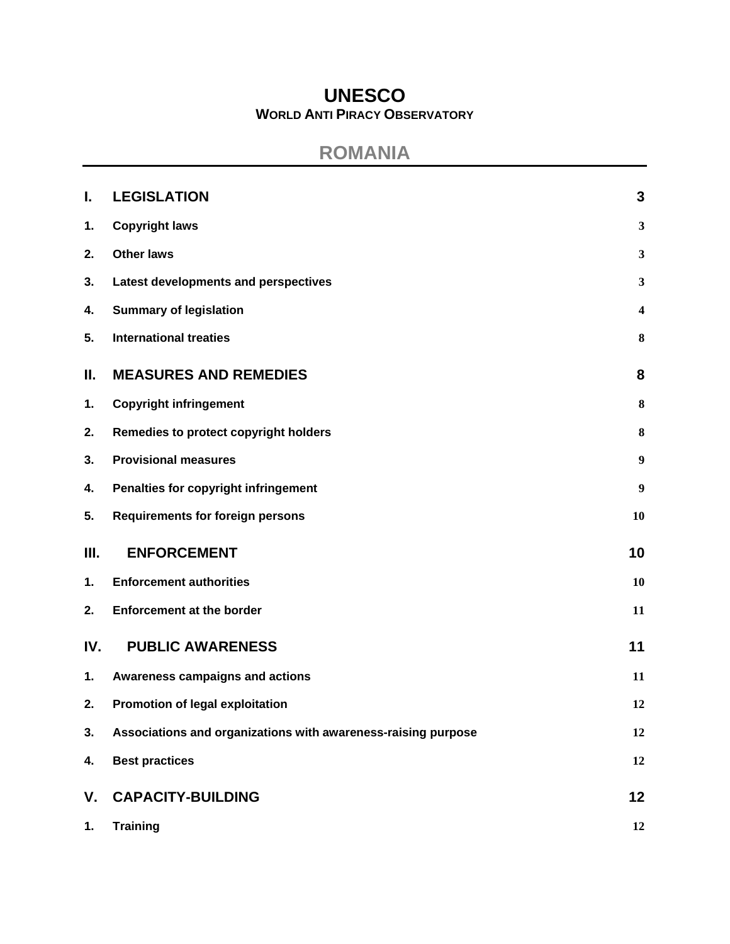# **UNESCO WORLD ANTI PIRACY OBSERVATORY**

# **ROMANIA**

| I.  | <b>LEGISLATION</b>                                            | 3                       |
|-----|---------------------------------------------------------------|-------------------------|
| 1.  | <b>Copyright laws</b>                                         | $\mathbf{3}$            |
| 2.  | <b>Other laws</b>                                             | 3                       |
| 3.  | Latest developments and perspectives                          | $\mathbf{3}$            |
| 4.  | <b>Summary of legislation</b>                                 | $\overline{\mathbf{4}}$ |
| 5.  | <b>International treaties</b>                                 | 8                       |
| Ш.  | <b>MEASURES AND REMEDIES</b>                                  | 8                       |
| 1.  | <b>Copyright infringement</b>                                 | 8                       |
| 2.  | Remedies to protect copyright holders                         | $\bf{8}$                |
| 3.  | <b>Provisional measures</b>                                   | $\boldsymbol{9}$        |
| 4.  | Penalties for copyright infringement                          | $\boldsymbol{9}$        |
| 5.  | <b>Requirements for foreign persons</b>                       | 10                      |
| Ш.  | <b>ENFORCEMENT</b>                                            | 10                      |
| 1.  | <b>Enforcement authorities</b>                                | 10                      |
| 2.  | <b>Enforcement at the border</b>                              | 11                      |
| IV. | <b>PUBLIC AWARENESS</b>                                       | 11                      |
| 1.  | Awareness campaigns and actions                               | 11                      |
| 2.  | Promotion of legal exploitation                               | 12                      |
| 3.  | Associations and organizations with awareness-raising purpose | 12                      |
| 4.  | <b>Best practices</b>                                         | 12                      |
| V.  | <b>CAPACITY-BUILDING</b>                                      | 12                      |
| 1.  | <b>Training</b>                                               | 12                      |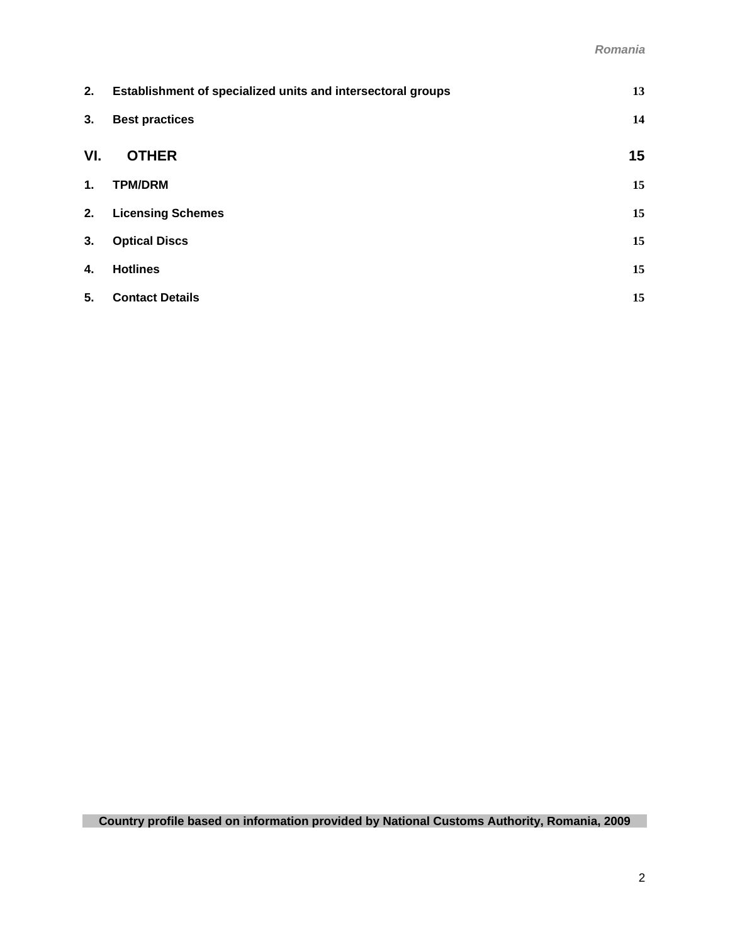| 2.  | Establishment of specialized units and intersectoral groups | 13 |
|-----|-------------------------------------------------------------|----|
| 3.  | <b>Best practices</b>                                       | 14 |
| VI. | <b>OTHER</b>                                                | 15 |
| 1.  | <b>TPM/DRM</b>                                              | 15 |
| 2.  | <b>Licensing Schemes</b>                                    | 15 |
| 3.  | <b>Optical Discs</b>                                        | 15 |
| 4.  | <b>Hotlines</b>                                             | 15 |
| 5.  | <b>Contact Details</b>                                      | 15 |

**Country profile based on information provided by National Customs Authority, Romania, 2009**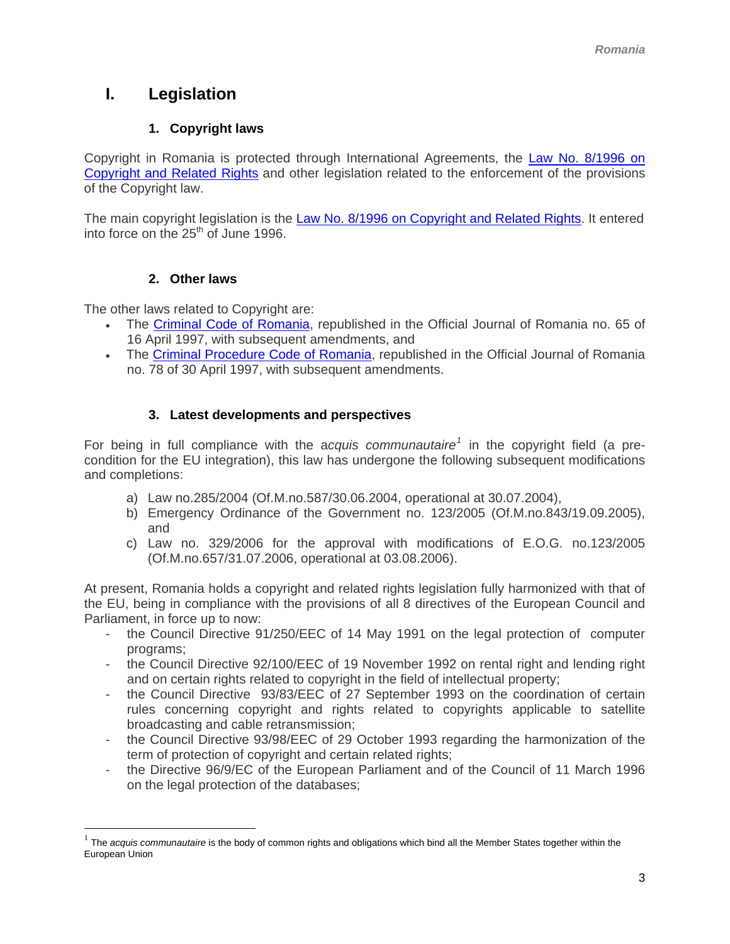# <span id="page-2-0"></span>**I. Legislation**

## **1. Copyright laws**

Copyright in Romania is protected through International Agreements, the [Law No. 8/1996 on](http://www.wipo.int/clea/en/text_pdf.jsp?lang=EN&id=3578)  [Copyright and Related Rights](http://www.wipo.int/clea/en/text_pdf.jsp?lang=EN&id=3578) and other legislation related to the enforcement of the provisions of the Copyright law.

The main copyright legislation is the [Law No. 8/1996 on Copyright and Related Rights.](http://www.wipo.int/clea/en/text_pdf.jsp?lang=EN&id=3578) It entered into force on the  $25<sup>th</sup>$  of June 1996.

## **2. Other laws**

 $\overline{a}$ 

The other laws related to Copyright are:

- The [Criminal Code of Romania,](http://www.cdep.ro/pls/legis/legis_pck.htp_act?ida=32756) republished in the Official Journal of Romania no. 65 of 16 April 1997, with subsequent amendments, and
- The [Criminal Procedure Code of Romania,](http://www.cdep.ro/pls/legis/legis_pck.htp_act?ida=36298) republished in the Official Journal of Romania no. 78 of 30 April 1997, with subsequent amendments.

## **3. Latest developments and perspectives**

For being in full compliance with the acquis communautaire<sup>[1](#page-2-1)</sup> in the copyright field (a precondition for the EU integration), this law has undergone the following subsequent modifications and completions:

- a) Law no.285/2004 (Of.M.no.587/30.06.2004, operational at 30.07.2004),
- b) Emergency Ordinance of the Government no. 123/2005 (Of.M.no.843/19.09.2005), and
- c) Law no. 329/2006 for the approval with modifications of E.O.G. no.123/2005 (Of.M.no.657/31.07.2006, operational at 03.08.2006).

At present, Romania holds a copyright and related rights legislation fully harmonized with that of the EU, being in compliance with the provisions of all 8 directives of the European Council and Parliament, in force up to now:

- the Council Directive 91/250/EEC of 14 May 1991 on the legal protection of computer programs;
- the Council Directive 92/100/EEC of 19 November 1992 on rental right and lending right and on certain rights related to copyright in the field of intellectual property;
- the Council Directive 93/83/EEC of 27 September 1993 on the coordination of certain rules concerning copyright and rights related to copyrights applicable to satellite broadcasting and cable retransmission;
- the Council Directive 93/98/EEC of 29 October 1993 regarding the harmonization of the term of protection of copyright and certain related rights;
- the Directive 96/9/EC of the European Parliament and of the Council of 11 March 1996 on the legal protection of the databases;

<span id="page-2-1"></span><sup>1</sup> The *acquis communautaire* is the body of common rights and obligations which bind all the Member States together within the European Union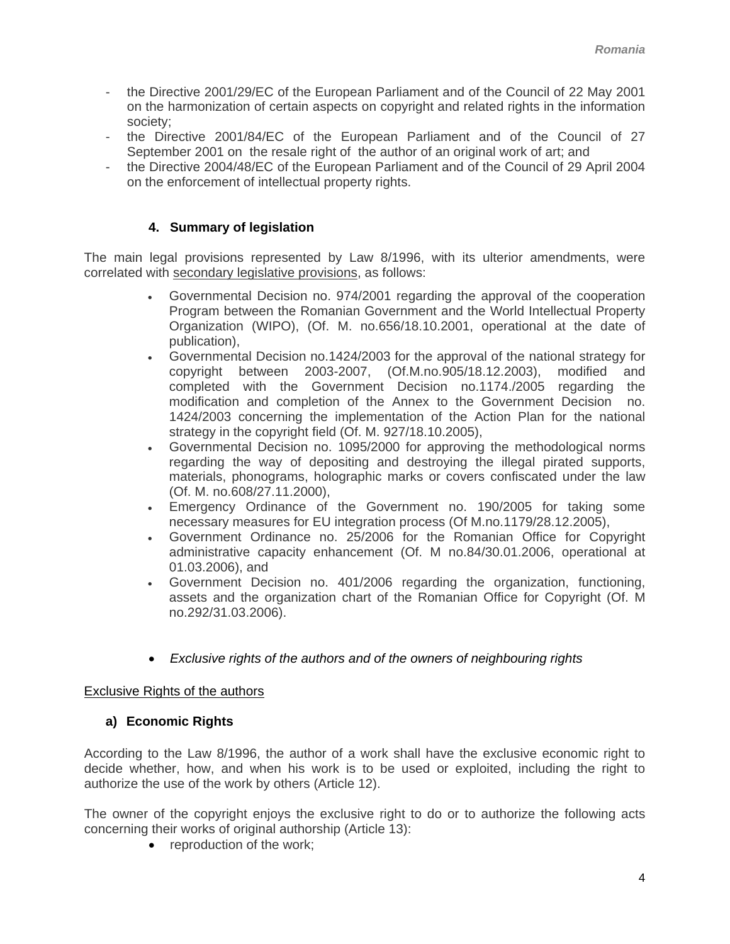- <span id="page-3-0"></span>the Directive 2001/29/EC of the European Parliament and of the Council of 22 May 2001 on the harmonization of certain aspects on copyright and related rights in the information society;
- the Directive 2001/84/EC of the European Parliament and of the Council of 27 September 2001 on the resale right of the author of an original work of art; and
- the Directive 2004/48/EC of the European Parliament and of the Council of 29 April 2004 on the enforcement of intellectual property rights.

## **4. Summary of legislation**

The main legal provisions represented by Law 8/1996, with its ulterior amendments, were correlated with secondary legislative provisions, as follows:

- Governmental Decision no. 974/2001 regarding the approval of the cooperation Program between the Romanian Government and the World Intellectual Property Organization (WIPO), (Of. M. no.656/18.10.2001, operational at the date of publication),
- Governmental Decision no.1424/2003 for the approval of the national strategy for copyright between 2003-2007, (Of.M.no.905/18.12.2003), modified and completed with the Government Decision no.1174./2005 regarding the modification and completion of the Annex to the Government Decision no. 1424/2003 concerning the implementation of the Action Plan for the national strategy in the copyright field (Of. M. 927/18.10.2005),
- Governmental Decision no. 1095/2000 for approving the methodological norms regarding the way of depositing and destroying the illegal pirated supports, materials, phonograms, holographic marks or covers confiscated under the law (Of. M. no.608/27.11.2000),
- Emergency Ordinance of the Government no. 190/2005 for taking some necessary measures for EU integration process (Of M.no.1179/28.12.2005),
- Government Ordinance no. 25/2006 for the Romanian Office for Copyright administrative capacity enhancement (Of. M no.84/30.01.2006, operational at 01.03.2006), and
- Government Decision no. 401/2006 regarding the organization, functioning, assets and the organization chart of the Romanian Office for Copyright (Of. M no.292/31.03.2006).
- *Exclusive rights of the authors and of the owners of neighbouring rights*

### Exclusive Rights of the authors

### **a) Economic Rights**

According to the Law 8/1996, the author of a work shall have the exclusive economic right to decide whether, how, and when his work is to be used or exploited, including the right to authorize the use of the work by others (Article 12).

The owner of the copyright enjoys the exclusive right to do or to authorize the following acts concerning their works of original authorship (Article 13):

• reproduction of the work;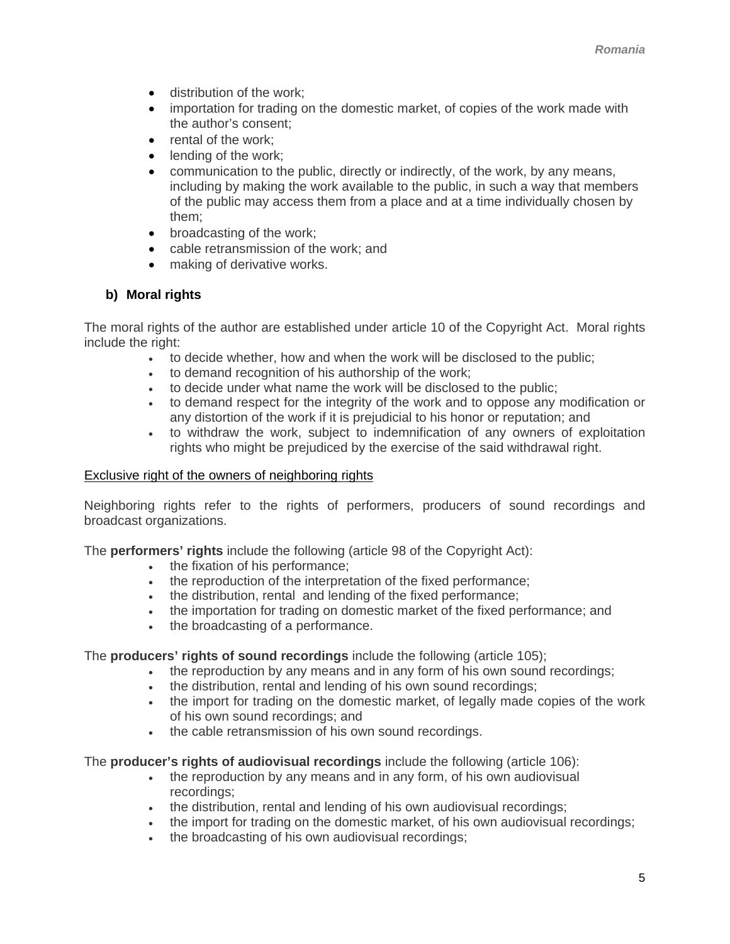- distribution of the work;
- importation for trading on the domestic market, of copies of the work made with the author's consent;
- rental of the work:
- lending of the work;
- communication to the public, directly or indirectly, of the work, by any means, including by making the work available to the public, in such a way that members of the public may access them from a place and at a time individually chosen by them;
- broadcasting of the work;
- cable retransmission of the work; and
- making of derivative works.

#### **b) Moral rights**

The moral rights of the author are established under article 10 of the Copyright Act. Moral rights include the right:

- to decide whether, how and when the work will be disclosed to the public;
- to demand recognition of his authorship of the work;
- to decide under what name the work will be disclosed to the public;
- to demand respect for the integrity of the work and to oppose any modification or any distortion of the work if it is prejudicial to his honor or reputation; and
- to withdraw the work, subject to indemnification of any owners of exploitation rights who might be prejudiced by the exercise of the said withdrawal right.

#### Exclusive right of the owners of neighboring rights

Neighboring rights refer to the rights of performers, producers of sound recordings and broadcast organizations.

The **performers' rights** include the following (article 98 of the Copyright Act):

- the fixation of his performance;
- the reproduction of the interpretation of the fixed performance;
- the distribution, rental and lending of the fixed performance;
- the importation for trading on domestic market of the fixed performance; and
- the broadcasting of a performance.

The **producers' rights of sound recordings** include the following (article 105);

- the reproduction by any means and in any form of his own sound recordings;
- the distribution, rental and lending of his own sound recordings;
- the import for trading on the domestic market, of legally made copies of the work of his own sound recordings; and
- the cable retransmission of his own sound recordings.

The **producer's rights of audiovisual recordings** include the following (article 106):

- the reproduction by any means and in any form, of his own audiovisual recordings;
- the distribution, rental and lending of his own audiovisual recordings;
- the import for trading on the domestic market, of his own audiovisual recordings;
- the broadcasting of his own audiovisual recordings;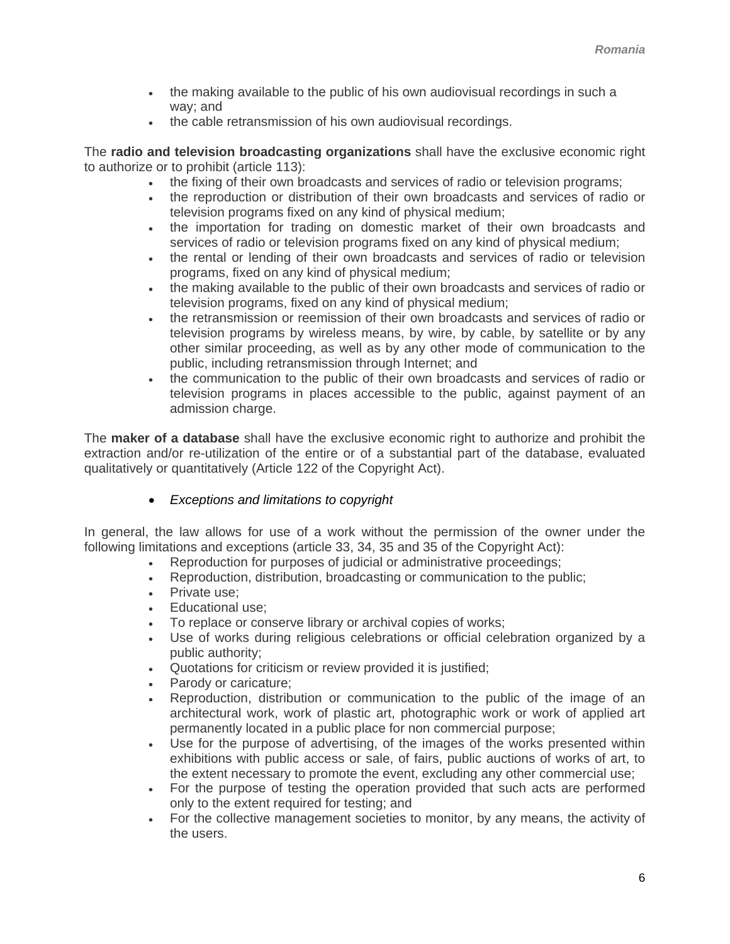- the making available to the public of his own audiovisual recordings in such a way; and
- the cable retransmission of his own audiovisual recordings.

The **radio and television broadcasting organizations** shall have the exclusive economic right to authorize or to prohibit (article 113):

- the fixing of their own broadcasts and services of radio or television programs;
- the reproduction or distribution of their own broadcasts and services of radio or television programs fixed on any kind of physical medium;
- the importation for trading on domestic market of their own broadcasts and services of radio or television programs fixed on any kind of physical medium;
- the rental or lending of their own broadcasts and services of radio or television programs, fixed on any kind of physical medium;
- the making available to the public of their own broadcasts and services of radio or television programs, fixed on any kind of physical medium;
- the retransmission or reemission of their own broadcasts and services of radio or television programs by wireless means, by wire, by cable, by satellite or by any other similar proceeding, as well as by any other mode of communication to the public, including retransmission through Internet; and
- the communication to the public of their own broadcasts and services of radio or television programs in places accessible to the public, against payment of an admission charge.

The **maker of a database** shall have the exclusive economic right to authorize and prohibit the extraction and/or re-utilization of the entire or of a substantial part of the database, evaluated qualitatively or quantitatively (Article 122 of the Copyright Act).

• *Exceptions and limitations to copyright* 

In general, the law allows for use of a work without the permission of the owner under the following limitations and exceptions (article 33, 34, 35 and 35 of the Copyright Act):

- Reproduction for purposes of judicial or administrative proceedings;
- Reproduction, distribution, broadcasting or communication to the public;
- Private use;
- Educational use:
- To replace or conserve library or archival copies of works;
- Use of works during religious celebrations or official celebration organized by a public authority;
- Quotations for criticism or review provided it is justified;
- Parody or caricature;
- Reproduction, distribution or communication to the public of the image of an architectural work, work of plastic art, photographic work or work of applied art permanently located in a public place for non commercial purpose;
- Use for the purpose of advertising, of the images of the works presented within exhibitions with public access or sale, of fairs, public auctions of works of art, to the extent necessary to promote the event, excluding any other commercial use;
- For the purpose of testing the operation provided that such acts are performed only to the extent required for testing; and
- For the collective management societies to monitor, by any means, the activity of the users.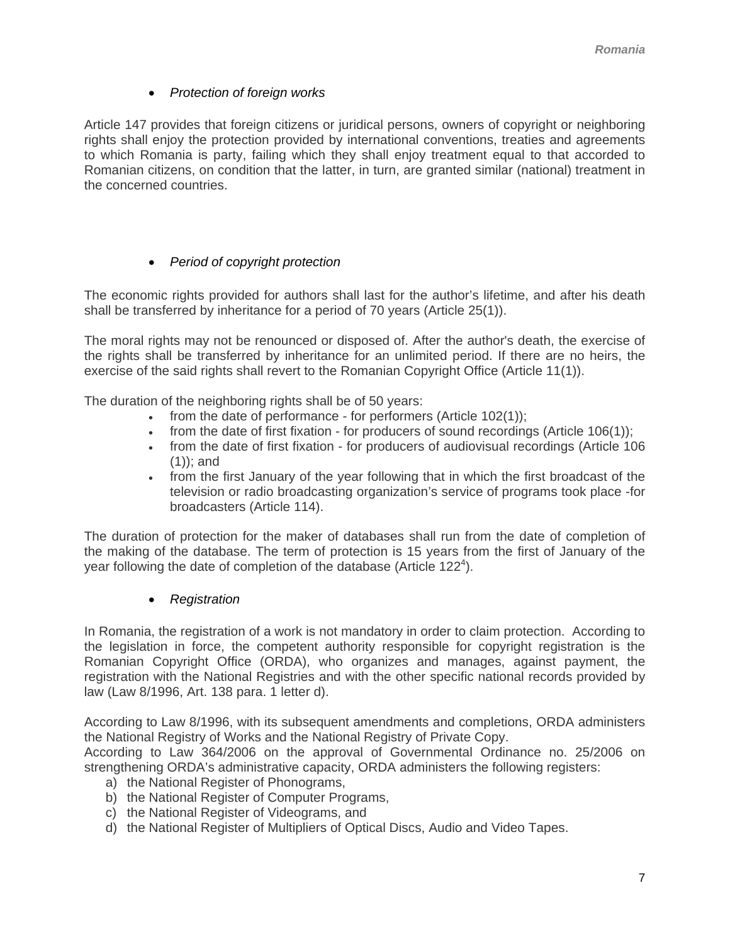## • *Protection of foreign works*

Article 147 provides that foreign citizens or juridical persons, owners of copyright or neighboring rights shall enjoy the protection provided by international conventions, treaties and agreements to which Romania is party, failing which they shall enjoy treatment equal to that accorded to Romanian citizens, on condition that the latter, in turn, are granted similar (national) treatment in the concerned countries.

## • *Period of copyright protection*

The economic rights provided for authors shall last for the author's lifetime, and after his death shall be transferred by inheritance for a period of 70 years (Article 25(1)).

The moral rights may not be renounced or disposed of. After the author's death, the exercise of the rights shall be transferred by inheritance for an unlimited period. If there are no heirs, the exercise of the said rights shall revert to the Romanian Copyright Office (Article 11(1)).

The duration of the neighboring rights shall be of 50 years:

- from the date of performance for performers (Article 102(1));
- from the date of first fixation for producers of sound recordings (Article 106(1));
- from the date of first fixation for producers of audiovisual recordings (Article 106 (1)); and
- from the first January of the year following that in which the first broadcast of the television or radio broadcasting organization's service of programs took place -for broadcasters (Article 114).

The duration of protection for the maker of databases shall run from the date of completion of the making of the database. The term of protection is 15 years from the first of January of the year following the date of completion of the database (Article 122<sup>4</sup>).

• *Registration*

In Romania, the registration of a work is not mandatory in order to claim protection. According to the legislation in force, the competent authority responsible for copyright registration is the Romanian Copyright Office (ORDA), who organizes and manages, against payment, the registration with the National Registries and with the other specific national records provided by law (Law 8/1996, Art. 138 para. 1 letter d).

According to Law 8/1996, with its subsequent amendments and completions, ORDA administers the National Registry of Works and the National Registry of Private Copy.

According to Law 364/2006 on the approval of Governmental Ordinance no. 25/2006 on strengthening ORDA's administrative capacity, ORDA administers the following registers:

- a) the National Register of Phonograms,
- b) the National Register of Computer Programs,
- c) the National Register of Videograms, and
- d) the National Register of Multipliers of Optical Discs, Audio and Video Tapes.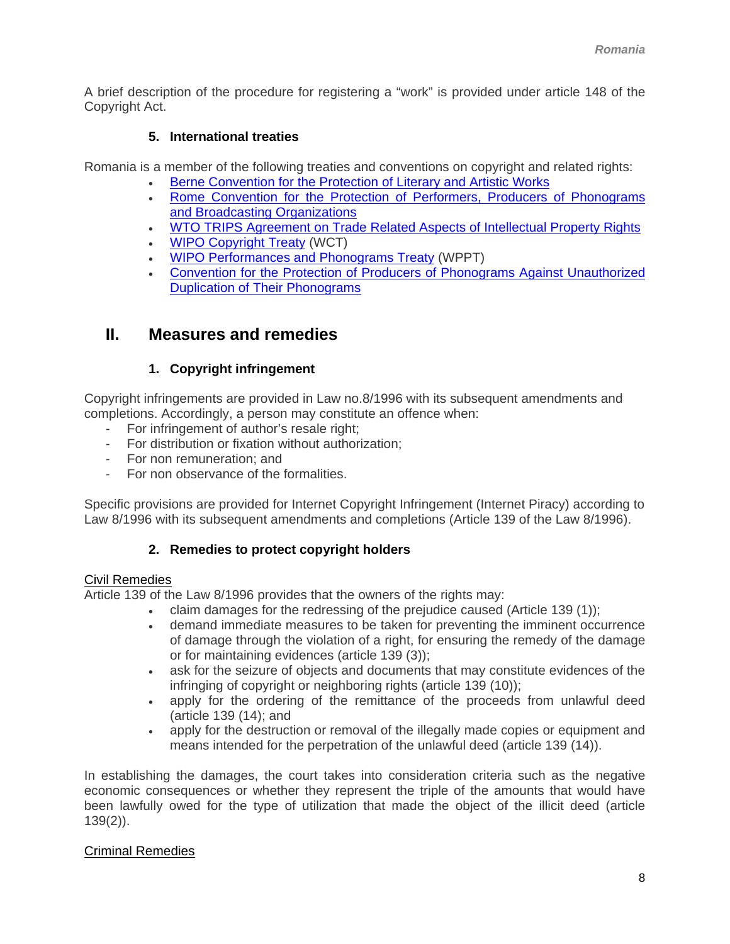<span id="page-7-0"></span>A brief description of the procedure for registering a "work" is provided under article 148 of the Copyright Act.

## **5. International treaties**

Romania is a member of the following treaties and conventions on copyright and related rights:

- [Berne Convention for the Protection of Literary and Artistic Works](http://www.wipo.int/treaties/en/ip/berne/trtdocs_wo001.html)
- [Rome Convention for the Protection of Performers, Producers of Phonograms](http://www.wipo.int/treaties/en/ip/rome/trtdocs_wo024.html)  [and Broadcasting Organizations](http://www.wipo.int/treaties/en/ip/rome/trtdocs_wo024.html)
- [WTO TRIPS Agreement on Trade Related Aspects of Intellectual Property Rights](http://www.wto.org/english/docs_e/legal_e/27-trips.pdf)
- [WIPO Copyright Treaty](http://www.wipo.int/treaties/en/ip/wct/trtdocs_wo033.html) (WCT)
- [WIPO Performances and Phonograms Treaty](http://www.wipo.int/treaties/en/ip/wppt/trtdocs_wo034.html) (WPPT)
- [Convention for the Protection of Producers of Phonograms Against Unauthorized](http://www.wipo.int/treaties/en/ip/phonograms/trtdocs_wo023.html)  [Duplication of Their Phonograms](http://www.wipo.int/treaties/en/ip/phonograms/trtdocs_wo023.html)

## **II. Measures and remedies**

## **1. Copyright infringement**

Copyright infringements are provided in Law no.8/1996 with its subsequent amendments and completions. Accordingly, a person may constitute an offence when:

- For infringement of author's resale right;
- For distribution or fixation without authorization;
- For non remuneration; and
- For non observance of the formalities.

Specific provisions are provided for Internet Copyright Infringement (Internet Piracy) according to Law 8/1996 with its subsequent amendments and completions (Article 139 of the Law 8/1996).

### **2. Remedies to protect copyright holders**

### Civil Remedies

Article 139 of the Law 8/1996 provides that the owners of the rights may:

- claim damages for the redressing of the prejudice caused (Article 139 (1));
- demand immediate measures to be taken for preventing the imminent occurrence of damage through the violation of a right, for ensuring the remedy of the damage or for maintaining evidences (article 139 (3));
- ask for the seizure of objects and documents that may constitute evidences of the infringing of copyright or neighboring rights (article 139 (10));
- apply for the ordering of the remittance of the proceeds from unlawful deed (article 139 (14); and
- apply for the destruction or removal of the illegally made copies or equipment and means intended for the perpetration of the unlawful deed (article 139 (14)).

In establishing the damages, the court takes into consideration criteria such as the negative economic consequences or whether they represent the triple of the amounts that would have been lawfully owed for the type of utilization that made the object of the illicit deed (article 139(2)).

### Criminal Remedies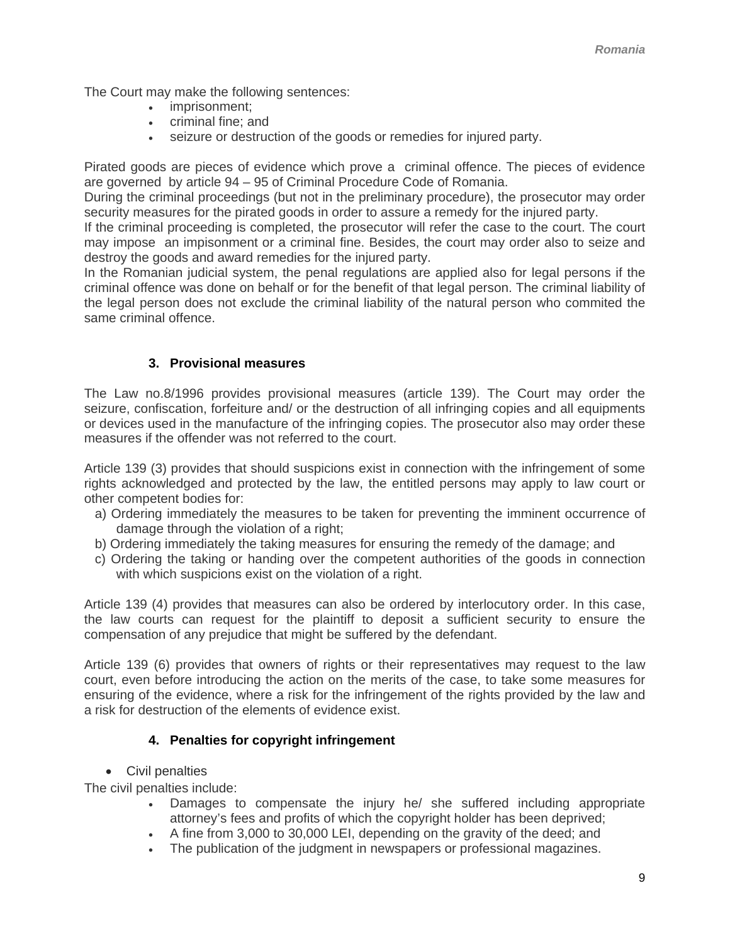<span id="page-8-0"></span>The Court may make the following sentences:

- imprisonment;
- criminal fine; and
- seizure or destruction of the goods or remedies for injured party.

Pirated goods are pieces of evidence which prove a criminal offence. The pieces of evidence are governed by article 94 – 95 of Criminal Procedure Code of Romania.

During the criminal proceedings (but not in the preliminary procedure), the prosecutor may order security measures for the pirated goods in order to assure a remedy for the injured party.

If the criminal proceeding is completed, the prosecutor will refer the case to the court. The court may impose an impisonment or a criminal fine. Besides, the court may order also to seize and destroy the goods and award remedies for the injured party.

In the Romanian judicial system, the penal regulations are applied also for legal persons if the criminal offence was done on behalf or for the benefit of that legal person. The criminal liability of the legal person does not exclude the criminal liability of the natural person who commited the same criminal offence.

### **3. Provisional measures**

The Law no.8/1996 provides provisional measures (article 139). The Court may order the seizure, confiscation, forfeiture and/ or the destruction of all infringing copies and all equipments or devices used in the manufacture of the infringing copies. The prosecutor also may order these measures if the offender was not referred to the court.

Article 139 (3) provides that should suspicions exist in connection with the infringement of some rights acknowledged and protected by the law, the entitled persons may apply to law court or other competent bodies for:

- a) Ordering immediately the measures to be taken for preventing the imminent occurrence of damage through the violation of a right;
- b) Ordering immediately the taking measures for ensuring the remedy of the damage; and
- c) Ordering the taking or handing over the competent authorities of the goods in connection with which suspicions exist on the violation of a right.

Article 139 (4) provides that measures can also be ordered by interlocutory order. In this case, the law courts can request for the plaintiff to deposit a sufficient security to ensure the compensation of any prejudice that might be suffered by the defendant.

Article 139 (6) provides that owners of rights or their representatives may request to the law court, even before introducing the action on the merits of the case, to take some measures for ensuring of the evidence, where a risk for the infringement of the rights provided by the law and a risk for destruction of the elements of evidence exist.

## **4. Penalties for copyright infringement**

• Civil penalties

The civil penalties include:

- Damages to compensate the injury he/ she suffered including appropriate attorney's fees and profits of which the copyright holder has been deprived;
- A fine from 3,000 to 30,000 LEI, depending on the gravity of the deed; and
- The publication of the judgment in newspapers or professional magazines.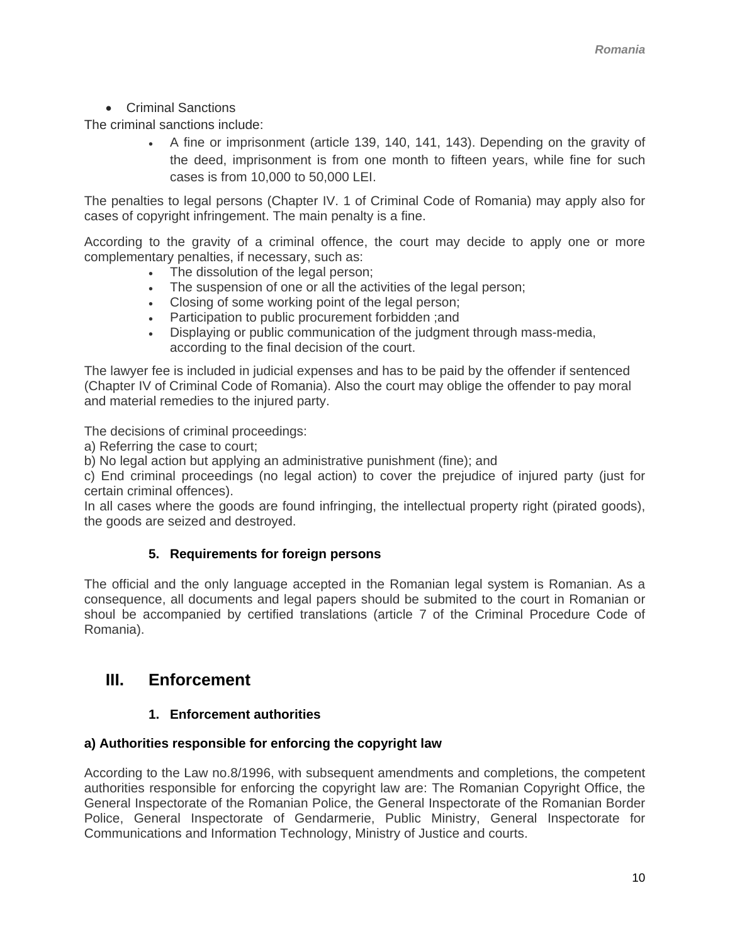• Criminal Sanctions

<span id="page-9-0"></span>The criminal sanctions include:

• A fine or imprisonment (article 139, 140, 141, 143). Depending on the gravity of the deed, imprisonment is from one month to fifteen years, while fine for such cases is from 10,000 to 50,000 LEI.

The penalties to legal persons (Chapter IV. 1 of Criminal Code of Romania) may apply also for cases of copyright infringement. The main penalty is a fine.

According to the gravity of a criminal offence, the court may decide to apply one or more complementary penalties, if necessary, such as:

- The dissolution of the legal person;
- The suspension of one or all the activities of the legal person;
- Closing of some working point of the legal person;
- Participation to public procurement forbidden ;and
- Displaying or public communication of the judgment through mass-media, according to the final decision of the court.

The lawyer fee is included in judicial expenses and has to be paid by the offender if sentenced (Chapter IV of Criminal Code of Romania). Also the court may oblige the offender to pay moral and material remedies to the injured party.

The decisions of criminal proceedings:

a) Referring the case to court;

b) No legal action but applying an administrative punishment (fine); and

c) End criminal proceedings (no legal action) to cover the prejudice of injured party (just for certain criminal offences).

In all cases where the goods are found infringing, the intellectual property right (pirated goods), the goods are seized and destroyed.

### **5. Requirements for foreign persons**

The official and the only language accepted in the Romanian legal system is Romanian. As a consequence, all documents and legal papers should be submited to the court in Romanian or shoul be accompanied by certified translations (article 7 of the Criminal Procedure Code of Romania).

## **III. Enforcement**

### **1. Enforcement authorities**

### **a) Authorities responsible for enforcing the copyright law**

According to the Law no.8/1996, with subsequent amendments and completions, the competent authorities responsible for enforcing the copyright law are: The Romanian Copyright Office, the General Inspectorate of the Romanian Police, the General Inspectorate of the Romanian Border Police, General Inspectorate of Gendarmerie, Public Ministry, General Inspectorate for Communications and Information Technology, Ministry of Justice and courts.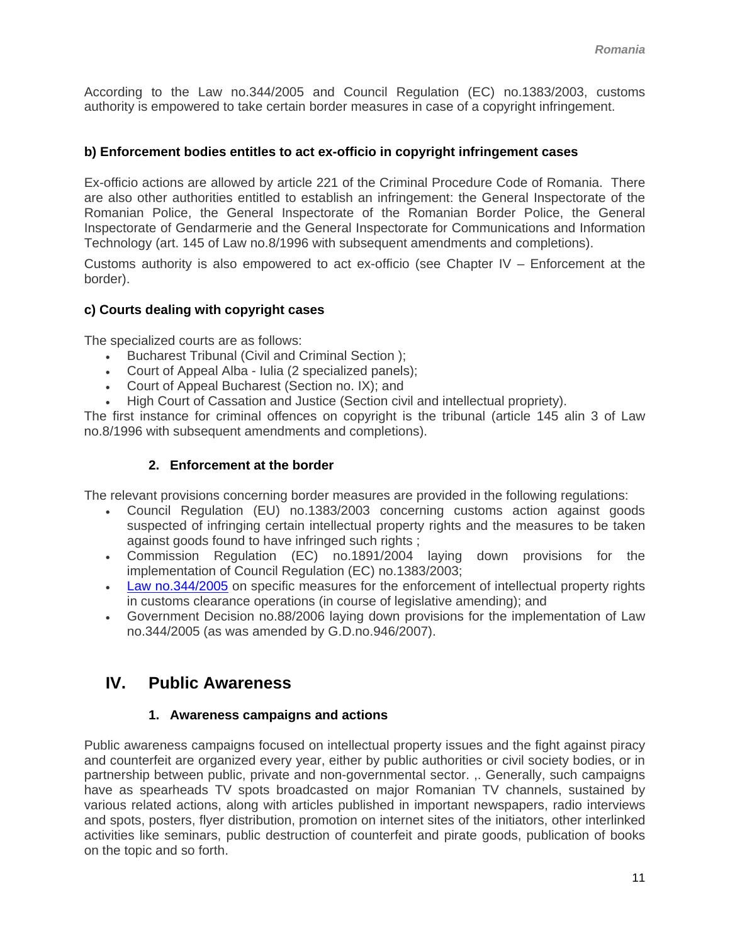<span id="page-10-0"></span>According to the Law no.344/2005 and Council Regulation (EC) no.1383/2003, customs authority is empowered to take certain border measures in case of a copyright infringement.

### **b) Enforcement bodies entitles to act ex-officio in copyright infringement cases**

Ex-officio actions are allowed by article 221 of the Criminal Procedure Code of Romania. There are also other authorities entitled to establish an infringement: the General Inspectorate of the Romanian Police, the General Inspectorate of the Romanian Border Police, the General Inspectorate of Gendarmerie and the General Inspectorate for Communications and Information Technology (art. 145 of Law no.8/1996 with subsequent amendments and completions).

Customs authority is also empowered to act ex-officio (see Chapter IV – Enforcement at the border).

#### **c) Courts dealing with copyright cases**

The specialized courts are as follows:

- Bucharest Tribunal (Civil and Criminal Section );
- Court of Appeal Alba Iulia (2 specialized panels);
- Court of Appeal Bucharest (Section no. IX); and
- High Court of Cassation and Justice (Section civil and intellectual propriety).

The first instance for criminal offences on copyright is the tribunal (article 145 alin 3 of Law no.8/1996 with subsequent amendments and completions).

#### **2. Enforcement at the border**

The relevant provisions concerning border measures are provided in the following regulations:

- Council Regulation (EU) no.1383/2003 concerning customs action against goods suspected of infringing certain intellectual property rights and the measures to be taken against goods found to have infringed such rights ;
- Commission Regulation (EC) no.1891/2004 laying down provisions for the implementation of Council Regulation (EC) no.1383/2003;
- [Law no.344/2005](http://www.cdep.ro/proiecte/2005/400/30/3/leg_pl433_05.pdf) on specific measures for the enforcement of intellectual property rights in customs clearance operations (in course of legislative amending); and
- Government Decision no.88/2006 laying down provisions for the implementation of Law no.344/2005 (as was amended by G.D.no.946/2007).

## **IV. Public Awareness**

#### **1. Awareness campaigns and actions**

Public awareness campaigns focused on intellectual property issues and the fight against piracy and counterfeit are organized every year, either by public authorities or civil society bodies, or in partnership between public, private and non-governmental sector. ,. Generally, such campaigns have as spearheads TV spots broadcasted on major Romanian TV channels, sustained by various related actions, along with articles published in important newspapers, radio interviews and spots, posters, flyer distribution, promotion on internet sites of the initiators, other interlinked activities like seminars, public destruction of counterfeit and pirate goods, publication of books on the topic and so forth.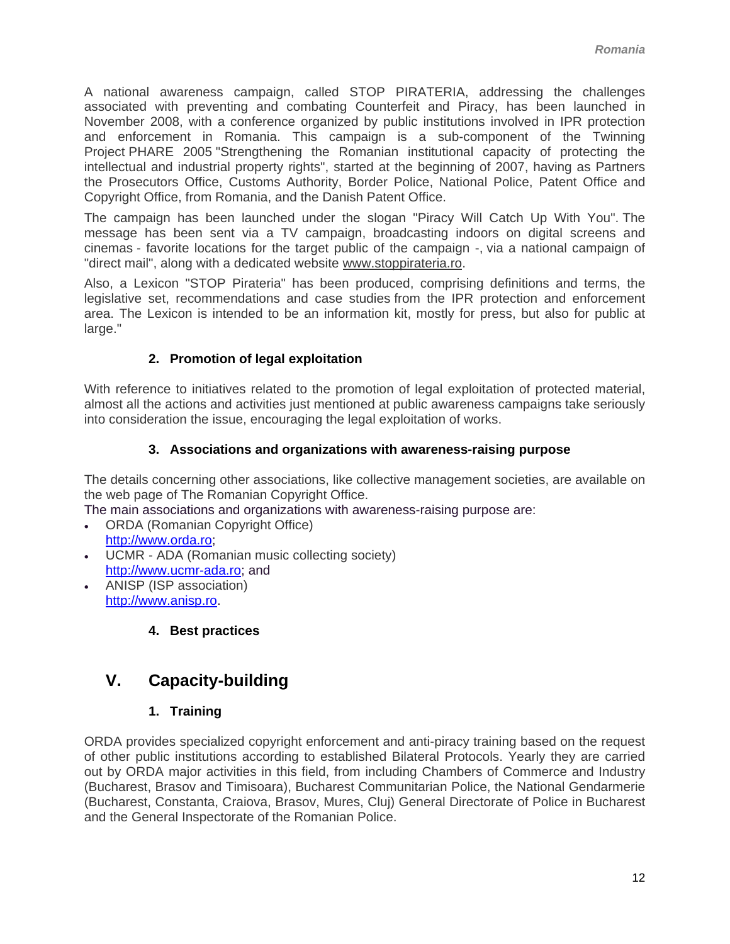<span id="page-11-0"></span>A national awareness campaign, called STOP PIRATERIA, addressing the challenges associated with preventing and combating Counterfeit and Piracy, has been launched in November 2008, with a conference organized by public institutions involved in IPR protection and enforcement in Romania. This campaign is a sub-component of the Twinning Project PHARE 2005 "Strengthening the Romanian institutional capacity of protecting the intellectual and industrial property rights", started at the beginning of 2007, having as Partners the Prosecutors Office, Customs Authority, Border Police, National Police, Patent Office and Copyright Office, from Romania, and the Danish Patent Office.

The campaign has been launched under the slogan "Piracy Will Catch Up With You". The message has been sent via a TV campaign, broadcasting indoors on digital screens and cinemas - favorite locations for the target public of the campaign -, via a national campaign of "direct mail", along with a dedicated website [www.stoppirateria.ro.](http://www.stoppirateria.ro/)

Also, a Lexicon "STOP Pirateria" has been produced, comprising definitions and terms, the legislative set, recommendations and case studies from the IPR protection and enforcement area. The Lexicon is intended to be an information kit, mostly for press, but also for public at large."

## **2. Promotion of legal exploitation**

With reference to initiatives related to the promotion of legal exploitation of protected material, almost all the actions and activities just mentioned at public awareness campaigns take seriously into consideration the issue, encouraging the legal exploitation of works.

## **3. Associations and organizations with awareness-raising purpose**

The details concerning other associations, like collective management societies, are available on the web page of The Romanian Copyright Office.

The main associations and organizations with awareness-raising purpose are:

- ORDA (Romanian Copyright Office) [http://www.orda.ro;](http://www.orda.ro/)
- UCMR ADA (Romanian music collecting society) [http://www.ucmr-ada.ro](http://www.ucmr-ada.ro/); and
- ANISP (ISP association) [http://www.anisp.ro](http://www.anisp.ro/).
	- **4. Best practices**

# **V. Capacity-building**

## **1. Training**

ORDA provides specialized copyright enforcement and anti-piracy training based on the request of other public institutions according to established Bilateral Protocols. Yearly they are carried out by ORDA major activities in this field, from including Chambers of Commerce and Industry (Bucharest, Brasov and Timisoara), Bucharest Communitarian Police, the National Gendarmerie (Bucharest, Constanta, Craiova, Brasov, Mures, Cluj) General Directorate of Police in Bucharest and the General Inspectorate of the Romanian Police.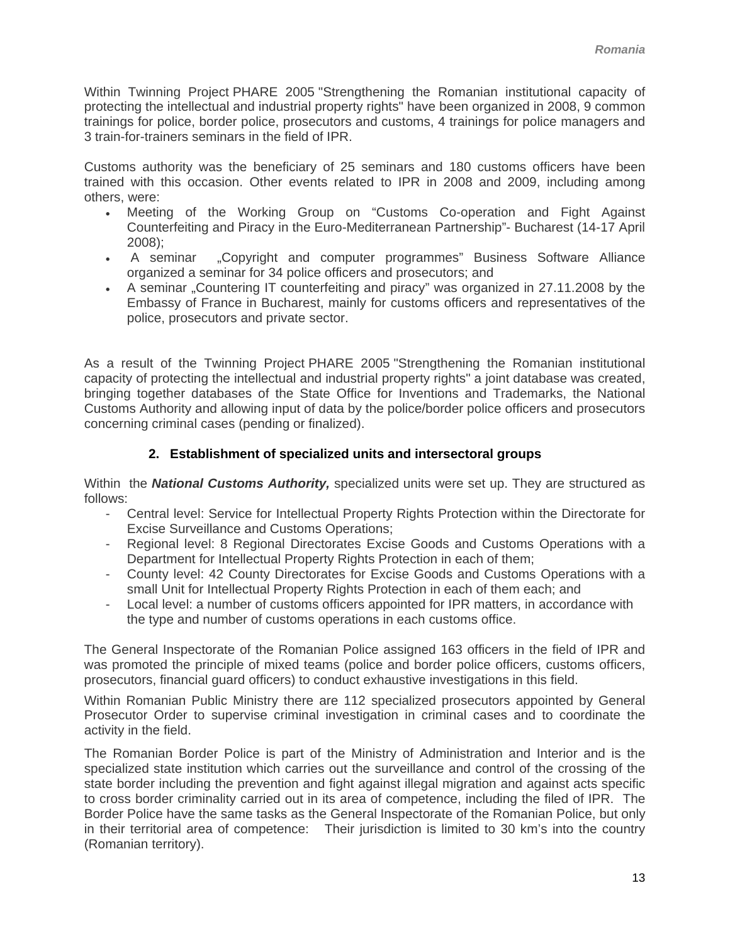<span id="page-12-0"></span>Within Twinning Project PHARE 2005 "Strengthening the Romanian institutional capacity of protecting the intellectual and industrial property rights" have been organized in 2008, 9 common trainings for police, border police, prosecutors and customs, 4 trainings for police managers and 3 train-for-trainers seminars in the field of IPR.

Customs authority was the beneficiary of 25 seminars and 180 customs officers have been trained with this occasion. Other events related to IPR in 2008 and 2009, including among others, were:

- Meeting of the Working Group on "Customs Co-operation and Fight Against Counterfeiting and Piracy in the Euro-Mediterranean Partnership"- Bucharest (14-17 April 2008);
- A seminar "Copyright and computer programmes" Business Software Alliance organized a seminar for 34 police officers and prosecutors; and
- A seminar "Countering IT counterfeiting and piracy" was organized in 27.11.2008 by the Embassy of France in Bucharest, mainly for customs officers and representatives of the police, prosecutors and private sector.

As a result of the Twinning Project PHARE 2005 "Strengthening the Romanian institutional capacity of protecting the intellectual and industrial property rights" a joint database was created, bringing together databases of the State Office for Inventions and Trademarks, the National Customs Authority and allowing input of data by the police/border police officers and prosecutors concerning criminal cases (pending or finalized).

## **2. Establishment of specialized units and intersectoral groups**

Within the *National Customs Authority,* specialized units were set up. They are structured as follows:

- Central level: Service for Intellectual Property Rights Protection within the Directorate for Excise Surveillance and Customs Operations;
- Regional level: 8 Regional Directorates Excise Goods and Customs Operations with a Department for Intellectual Property Rights Protection in each of them;
- County level: 42 County Directorates for Excise Goods and Customs Operations with a small Unit for Intellectual Property Rights Protection in each of them each; and
- Local level: a number of customs officers appointed for IPR matters, in accordance with the type and number of customs operations in each customs office.

The General Inspectorate of the Romanian Police assigned 163 officers in the field of IPR and was promoted the principle of mixed teams (police and border police officers, customs officers, prosecutors, financial guard officers) to conduct exhaustive investigations in this field.

Within Romanian Public Ministry there are 112 specialized prosecutors appointed by General Prosecutor Order to supervise criminal investigation in criminal cases and to coordinate the activity in the field.

The Romanian Border Police is part of the Ministry of Administration and Interior and is the specialized state institution which carries out the surveillance and control of the crossing of the state border including the prevention and fight against illegal migration and against acts specific to cross border criminality carried out in its area of competence, including the filed of IPR. The Border Police have the same tasks as the General Inspectorate of the Romanian Police, but only in their territorial area of competence: Their jurisdiction is limited to 30 km's into the country (Romanian territory).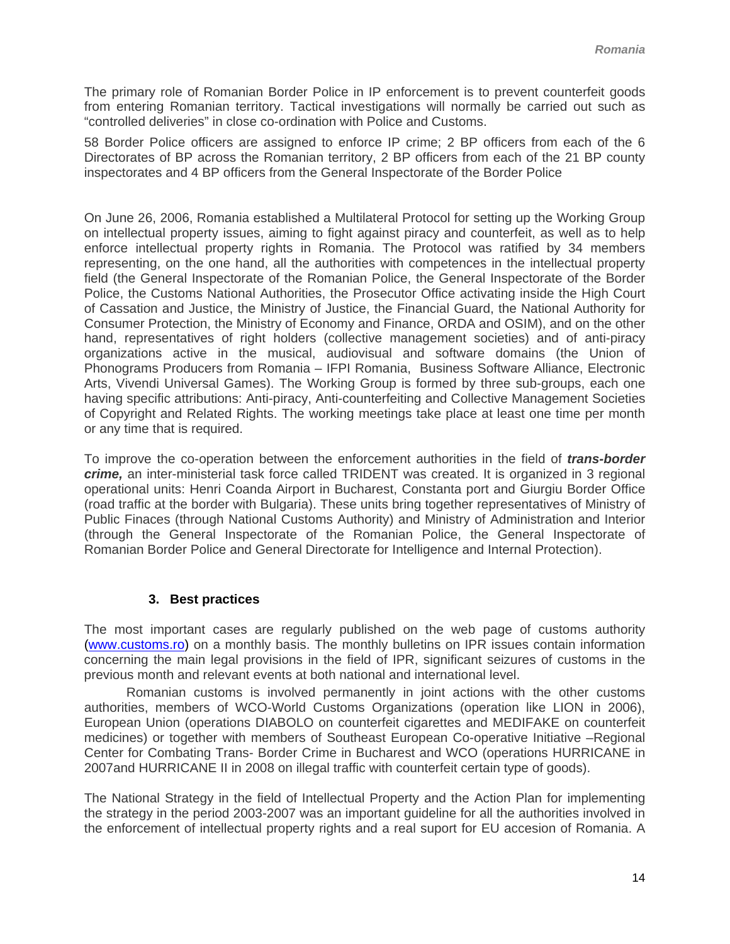<span id="page-13-0"></span>The primary role of Romanian Border Police in IP enforcement is to prevent counterfeit goods from entering Romanian territory. Tactical investigations will normally be carried out such as "controlled deliveries" in close co-ordination with Police and Customs.

58 Border Police officers are assigned to enforce IP crime; 2 BP officers from each of the 6 Directorates of BP across the Romanian territory, 2 BP officers from each of the 21 BP county inspectorates and 4 BP officers from the General Inspectorate of the Border Police

On June 26, 2006, Romania established a Multilateral Protocol for setting up the Working Group on intellectual property issues, aiming to fight against piracy and counterfeit, as well as to help enforce intellectual property rights in Romania. The Protocol was ratified by 34 members representing, on the one hand, all the authorities with competences in the intellectual property field (the General Inspectorate of the Romanian Police, the General Inspectorate of the Border Police, the Customs National Authorities, the Prosecutor Office activating inside the High Court of Cassation and Justice, the Ministry of Justice, the Financial Guard, the National Authority for Consumer Protection, the Ministry of Economy and Finance, ORDA and OSIM), and on the other hand, representatives of right holders (collective management societies) and of anti-piracy organizations active in the musical, audiovisual and software domains (the Union of Phonograms Producers from Romania – IFPI Romania, Business Software Alliance, Electronic Arts, Vivendi Universal Games). The Working Group is formed by three sub-groups, each one having specific attributions: Anti-piracy, Anti-counterfeiting and Collective Management Societies of Copyright and Related Rights. The working meetings take place at least one time per month or any time that is required.

To improve the co-operation between the enforcement authorities in the field of *trans-border crime,* an inter-ministerial task force called TRIDENT was created. It is organized in 3 regional operational units: Henri Coanda Airport in Bucharest, Constanta port and Giurgiu Border Office (road traffic at the border with Bulgaria). These units bring together representatives of Ministry of Public Finaces (through National Customs Authority) and Ministry of Administration and Interior (through the General Inspectorate of the Romanian Police, the General Inspectorate of Romanian Border Police and General Directorate for Intelligence and Internal Protection).

### **3. Best practices**

The most important cases are regularly published on the web page of customs authority [\(www.customs.ro\)](http://www.customs.ro/) on a monthly basis. The monthly bulletins on IPR issues contain information concerning the main legal provisions in the field of IPR, significant seizures of customs in the previous month and relevant events at both national and international level.

 Romanian customs is involved permanently in joint actions with the other customs authorities, members of WCO-World Customs Organizations (operation like LION in 2006), European Union (operations DIABOLO on counterfeit cigarettes and MEDIFAKE on counterfeit medicines) or together with members of Southeast European Co-operative Initiative –Regional Center for Combating Trans- Border Crime in Bucharest and WCO (operations HURRICANE in 2007and HURRICANE II in 2008 on illegal traffic with counterfeit certain type of goods).

The National Strategy in the field of Intellectual Property and the Action Plan for implementing the strategy in the period 2003-2007 was an important guideline for all the authorities involved in the enforcement of intellectual property rights and a real suport for EU accesion of Romania. A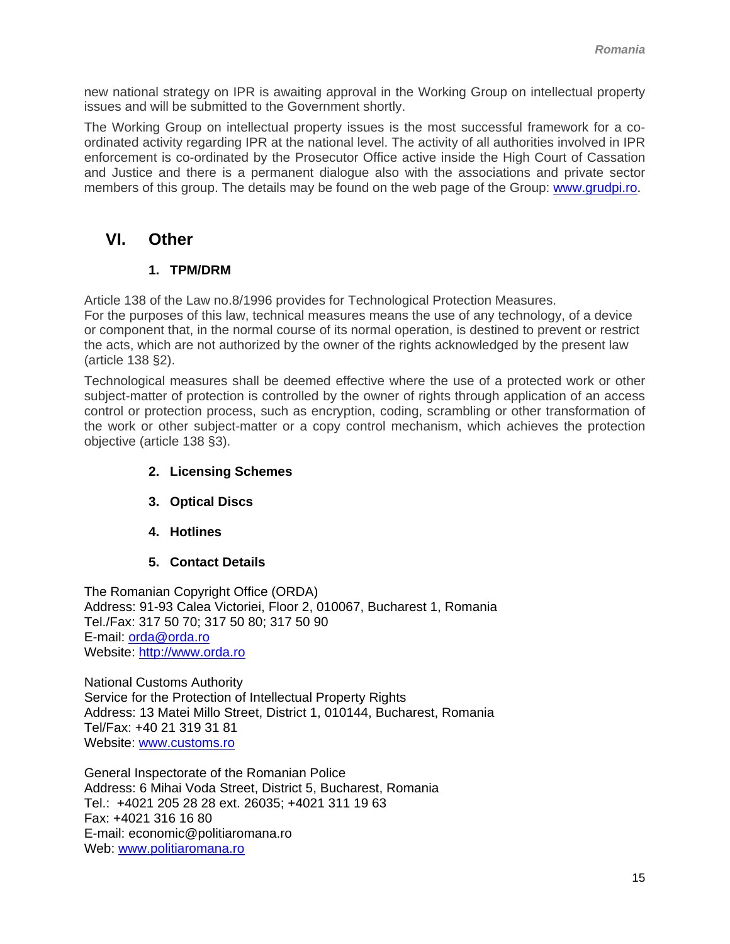<span id="page-14-0"></span>new national strategy on IPR is awaiting approval in the Working Group on intellectual property issues and will be submitted to the Government shortly.

The Working Group on intellectual property issues is the most successful framework for a coordinated activity regarding IPR at the national level. The activity of all authorities involved in IPR enforcement is co-ordinated by the Prosecutor Office active inside the High Court of Cassation and Justice and there is a permanent dialogue also with the associations and private sector members of this group. The details may be found on the web page of the Group: [www.grudpi.ro.](http://www.grudpi.ro/)

## **VI. Other**

## **1. TPM/DRM**

Article 138 of the Law no.8/1996 provides for Technological Protection Measures. For the purposes of this law, technical measures means the use of any technology, of a device or component that, in the normal course of its normal operation, is destined to prevent or restrict the acts, which are not authorized by the owner of the rights acknowledged by the present law (article 138 §2).

Technological measures shall be deemed effective where the use of a protected work or other subject-matter of protection is controlled by the owner of rights through application of an access control or protection process, such as encryption, coding, scrambling or other transformation of the work or other subject-matter or a copy control mechanism, which achieves the protection objective (article 138 §3).

- **2. Licensing Schemes**
- **3. Optical Discs**
- **4. Hotlines**
- **5. Contact Details**

The Romanian Copyright Office (ORDA) Address: 91-93 Calea Victoriei, Floor 2, 010067, Bucharest 1, Romania Tel./Fax: 317 50 70; 317 50 80; 317 50 90 E-mail: [orda@orda.ro](mailto:orda@orda.ro) Website: [http://www.orda.ro](http://www.orda.ro/)

National Customs Authority Service for the Protection of Intellectual Property Rights Address: 13 Matei Millo Street, District 1, 010144, Bucharest, Romania Tel/Fax: +40 21 319 31 81 Website: [www.customs.ro](http://www.customs.ro/)

General Inspectorate of the Romanian Police Address: 6 Mihai Voda Street, District 5, Bucharest, Romania Tel.: +4021 205 28 28 ext. 26035; +4021 311 19 63 Fax: +4021 316 16 80 E-mail: [economic@politiaromana.ro](mailto:economic@politiaromana.ro)  Web: [www.politiaromana.ro](http://www.politiaromana.ro/)